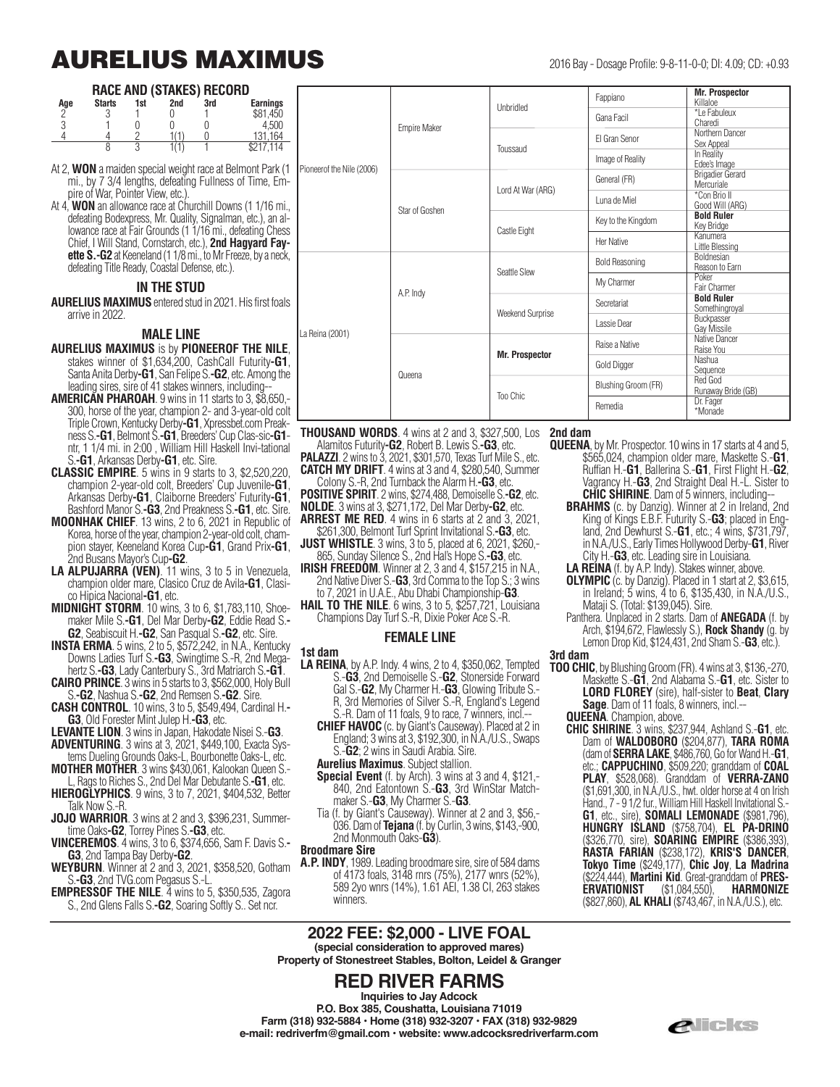## **AURELIUS MAXIMUS** 2016 Bay - Dosage Profile: 9-8-11-0-0; DI: 4.09; CD: +0.93

#### **RACE AND (STAKES) RECORD**

| <b>Earnings</b> |
|-----------------|
| \$81.450        |
| 4.500           |
| 164<br>131.     |
| 14              |
|                 |

At 2, **WON** a maiden special weight race at Belmont Park (1 mi., by 7 3/4 lengths, defeating Fullness of Time, Empire of War, Pointer View, etc.)

At 4, **WON** an allowance race at Churchill Downs (1 1/16 mi., defeating Bodexpress, Mr. Quality, Signalman, etc.), an allowance race at Fair Grounds (1 1/16 mi., defeating Chess Chief, I Will Stand, Cornstarch, etc.), **2nd Hagyard Fayette S.-G2** at Keeneland (1 1/8 mi., to Mr Freeze, by a neck defeating Title Ready, Coastal Defense, etc.).

#### **IN THE STUD**

**AURELIUS MAXIMUS** entered stud in 2021. His first foals arrive in 2022.

#### **MALE LINE**

**AURELIUS MAXIMUS** is by **PIONEEROF THE NILE**, stakes winner of \$1,634,200, CashCall Futurity**-G1**, Santa Anita Derby**-G1**, San Felipe S.**-G2**, etc. Among the leading sires, sire of 41 stakes winners, including--

**AMERICAN PHAROAH.** 9 wins in 11 starts to 3, \$8,650. 300, horse of the year, champion 2- and 3-year-old colt Triple Crown, Kentucky Derby**-G1**, Xpressbet.com Preakness S.**-G1**, Belmont S.**-G1**, Breeders' Cup Clas-sic**-G1** ntr, 1 1/4 mi. in 2:00 , William Hill Haskell Invi-tational S.**-G1**, Arkansas Derby**-G1**, etc. Sire.

**CLASSIC EMPIRE**. 5 wins in 9 starts to 3, \$2,520,220, champion 2-year-old colt, Breeders' Cup Juvenile**-G1**, Arkansas Derby**-G1**, Claiborne Breeders' Futurity**-G1**, Bashford Manor S.**-G3**, 2nd Preakness S.**-G1**, etc. Sire.

**MOONHAK CHIEF**. 13 wins, 2 to 6, 2021 in Republic of Korea, horse of the year, champion 2-year-old colt, champion stayer, Keeneland Korea Cup**-G1**, Grand Prix**-G1**, 2nd Busans Mayor's Cup**-G2**.

**LA ALPUJARRA (VEN)**. 11 wins, 3 to 5 in Venezuela, champion older mare, Clasico Cruz de Avila**-G1**, Clasico Hipica Nacional**-G1**, etc.

**MIDNIGHT STORM**. 10 wins, 3 to 6, \$1,783,110, Shoemaker Mile S.**-G1**, Del Mar Derby**-G2**, Eddie Read S.**- G2**, Seabiscuit H.**-G2**, San Pasqual S.**-G2**, etc. Sire.

**INSTA ERMA**. 5 wins, 2 to 5, \$572,242, in N.A., Kentucky Downs Ladies Turf S.**-G3**, Swingtime S.-R, 2nd Megahertz S.**-G3**, Lady Canterbury S., 3rd Matriarch S.**-G1**.

**CAIRO PRINCE**. 3 wins in 5 starts to 3, \$562,000, Holy Bull S.**-G2**, Nashua S.**-G2**, 2nd Remsen S.**-G2**. Sire.

**CASH CONTROL**. 10 wins, 3 to 5, \$549,494, Cardinal H.**- G3**, Old Forester Mint Julep H.**-G3**, etc.

**LEVANTE LION**. 3 wins in Japan, Hakodate Nisei S.-**G3**. **ADVENTURING**. 3 wins at 3, 2021, \$449,100, Exacta Sys-

tems Dueling Grounds Oaks-L, Bourbonette Oaks-L, etc.

**MOTHER MOTHER**. 3 wins \$430,061, Kalookan Queen S.- L, Rags to Riches S., 2nd Del Mar Debutante S.**-G1**, etc.

**HIEROGLYPHICS**. 9 wins, 3 to 7, 2021, \$404,532, Better Talk Now S.-R.

- **JOJO WARRIOR**. 3 wins at 2 and 3, \$396,231, Summertime Oaks**-G2**, Torrey Pines S.**-G3**, etc.
- **VINCEREMOS**. 4 wins, 3 to 6, \$374,656, Sam F. Davis S.**- G3**, 2nd Tampa Bay Derby**-G2**.
- **WEYBURN**. Winner at 2 and 3, 2021, \$358,520, Gotham S.**-G3**, 2nd TVG.com Pegasus S.-L.
- **EMPRESSOF THE NILE**. 4 wins to 5, \$350,535, Zagora S., 2nd Glens Falls S.**-G2**, Soaring Softly S.. Set ncr.

|               | Pioneerof the Nile (2006)              | <b>Empire Maker</b> | Unbridled               | Fappiano              | <b>Mr. Prospector</b><br>Killaloe     |
|---------------|----------------------------------------|---------------------|-------------------------|-----------------------|---------------------------------------|
|               |                                        |                     |                         | Gana Facil            | *Le Fabuleux<br>Charedi               |
|               |                                        |                     | Toussaud                | El Gran Senor         | Northern Dancer<br>Sex Appeal         |
|               |                                        |                     |                         | Image of Reality      | In Reality<br>Edee's Image            |
| -             |                                        | Star of Goshen      | Lord At War (ARG)       | General (FR)          | <b>Brigadier Gerard</b><br>Mercuriale |
| ٠,            |                                        |                     |                         | Luna de Miel          | *Con Brio II<br>Good Will (ARG)       |
|               |                                        |                     | Castle Eight            | Key to the Kingdom    | <b>Bold Ruler</b><br>Key Bridge       |
| Ś<br>۰        |                                        |                     |                         | <b>Her Native</b>     | Kanumera<br>Little Blessing           |
| ί,<br>S<br>٠, | A.P. Indy<br>La Reina (2001)<br>Queena |                     | Seattle Slew            | <b>Bold Reasoning</b> | <b>Boldnesian</b><br>Reason to Earn   |
|               |                                        |                     |                         | My Charmer            | Poker<br>Fair Charmer                 |
|               |                                        |                     | <b>Weekend Surprise</b> | Secretariat           | <b>Bold Ruler</b><br>Somethingroval   |
|               |                                        |                     |                         | Lassie Dear           | Buckpasser<br>Gay Missile             |
|               |                                        |                     | <b>Mr. Prospector</b>   | Raise a Native        | Native Dancer<br>Raise You            |
| e,            |                                        |                     |                         | Gold Digger           | Nashua<br>Sequence                    |
|               |                                        |                     | Too Chic                | Blushing Groom (FR)   | Red God<br>Runaway Bride (GB)         |
| -             |                                        |                     |                         | Remedia               | Dr. Fager<br>*Monade                  |

**THOUSAND WORDS**. 4 wins at 2 and 3, \$327,500, Los

Alamitos Futurity**-G2**, Robert B. Lewis S.**-G3**, etc.

**PALAZZI**. 2 wins to 3, 2021, \$301,570, Texas Turf Mile S., etc. **CATCH MY DRIFT**. 4 wins at 3 and 4, \$280,540, Summer

Colony S.-R, 2nd Turnback the Alarm H.**-G3**, etc. **POSITIVE SPIRIT**. 2 wins, \$274,488, Demoiselle S.**-G2**, etc. **NOLDE**. 3 wins at 3, \$271,172, Del Mar Derby**-G2**, etc.

- **ARREST ME RED**. 4 wins in 6 starts at 2 and 3, 2021,
- \$261,300, Belmont Turf Sprint Invitational S.**-G3**, etc. **JUST WHISTLE** 3 wins, 3 to 5, placed at 6, 2021, \$260,-
- 865, Sunday Silence S., 2nd Hal's Hope S.**-G3**, etc. **IRISH FREEDOM**. Winner at 2, 3 and 4, \$157,215 in N.A.,
- 2nd Native Diver S.-**G3**, 3rd Comma to the Top S.; 3 wins to 7, 2021 in U.A.E., Abu Dhabi Championship-**G3**.

**HAIL TO THE NILE**. 6 wins, 3 to 5, \$257,721, Louisiana Champions Day Turf S.-R, Dixie Poker Ace S.-R.

#### **FEMALE LINE**

#### **1st dam**

**LA REINA**, by A.P. Indy. 4 wins, 2 to 4, \$350,062, Tempted S.-**G3**, 2nd Demoiselle S.-**G2**, Stonerside Forward Gal S.-**G2**, My Charmer H.-**G3**, Glowing Tribute S.- R, 3rd Memories of Silver S.-R, England's Legend S.-R. Dam of 11 foals, 9 to race, 7 winners, incl.--

**CHIEF HAVOC** (c. by Giant's Causeway). Placed at 2 in England; 3 wins at 3, \$192,300, in N.A./U.S., Swaps S.-**G2**; 2 wins in Saudi Arabia. Sire.

- **Aurelius Maximus**. Subject stallion.
- **Special Event** (f. by Arch). 3 wins at 3 and 4, \$121,- 840, 2nd Eatontown S.-**G3**, 3rd WinStar Matchmaker S.-**G3**, My Charmer S.-**G3**.
- Tia (f. by Giant's Causeway). Winner at 2 and 3, \$56,- 036. Dam of **Tejana** (f. by Curlin, 3 wins, \$143,-900, 2nd Monmouth Oaks-**G3**).

#### **Broodmare Sire**

**A.P. INDY**, 1989. Leading broodmare sire, sire of 584 dams of 4173 foals, 3148 rnrs (75%), 2177 wnrs (52%), 589 2yo wnrs (14%), 1.61 AEI, 1.38 CI, 263 stakes winners.

## **2022 FEE: \$2,000 - LIVE FOAL**

**(special consideration to approved mares) Property of Stonestreet Stables, Bolton, Leidel & Granger**

**RED RIVER FARMS Inquiries to Jay Adcock P.O. Box 385, Coushatta, Louisiana 71019 Farm (318) 932-5884 • Home (318) 932-3207 • FAX (318) 932-9829 e-mail: redriverfm@gmail.com • website: www.adcocksredriverfarm.com**

**2nd dam**

- **QUEENA**, by Mr. Prospector. 10 wins in 17 starts at 4 and 5, \$565,024, champion older mare, Maskette S.-**G1**, Vagrancy H.-**G3**, 2nd Straight Deal H.-L. Sister to **CHIC SHIRINE**. Dam of 5 winners, including--
	- **BRAHMS** (c. by Danzig). Winner at 2 in Ireland, 2nd King of Kings E.B.F. Futurity S.-**G3**; placed in England, 2nd Dewhurst S.-**G1**, etc.; 4 wins, \$731,797, in N.A./U.S., Early Times Hollywood Derby-**G1**, River City H.-**G3**, etc. Leading sire in Louisiana.
	- **LA REINA** (f. by A.P. Indy). Stakes winner, above.
	- **OLYMPIC** (c. by Danzig). Placed in 1 start at 2, \$3,615, in Ireland; 5 wins, 4 to 6, \$135,430, in N.A./U.S., Mataji S. (Total: \$139,045). Sire.
	- Panthera. Unplaced in 2 starts. Dam of **ANEGADA** (f. by Arch, \$194,672, Flawlessly S.), **Rock Shandy** (g. by Lemon Drop Kid, \$124,431, 2nd Sham S.-**G3**, etc.).
- **3rd dam**
- **TOO CHIC**, by Blushing Groom (FR). 4 wins at 3, \$136,-270, Maskette S.-**G1**, 2nd Alabama S.-**G1**, etc. Sister to **LORD FLOREY** (sire), half-sister to **Beat**, **Clary Sage**. Dam of 11 foals, 8 winners, incl.-- **QUEENA**. Champion, above.
	- **CHIC SHIRINE**. 3 wins, \$237,944, Ashland S.-**G1**, etc. Dam of **WALDOBORO** (\$204,877), **TARA ROMA**
	- (dam of **SERRA LAKE**, \$486,760, Go for Wand H.-**G1**, etc.; **CAPPUCHINO**, \$509,220; granddam of **COAL PLAY**, \$528,068). Granddam of **VERRA-ZANO** (\$1,691,300, in N.A./U.S., hwt. older horse at 4 on Irish Hand., 7 - 9 1/2 fur., William Hill Haskell Invitational S.- **G1**, etc., sire), **SOMALI LEMONADE** (\$981,796), **HUNGRY ISLAND** (\$758,704), **EL PA-DRINO** (\$326,770, sire), **SOARING EMPIRE** (\$386,393), **RASTA FARIAN** (\$238,172), **KRIS'S DANCER**, **Tokyo Time** (\$249,177), **Chic Joy**, **La Madrina** (\$224,444), **Martini Kid**. Great-granddam of **PRES-ERVATIONIST** (\$1,084,550), **HARMONIZE** (\$827,860), **AL KHALI** (\$743,467, in N.A./U.S.), etc.